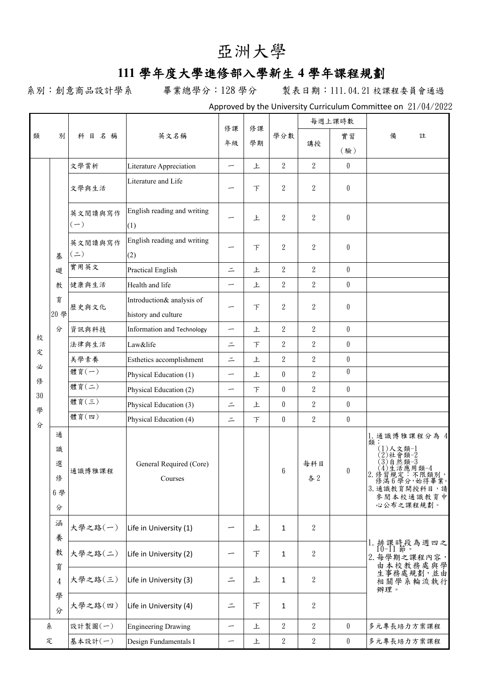## 亞洲大學

## **111** 學年度大學進修部入學新生 **4** 學年課程規劃

系別:創意商品設計學系 畢業總學分:128 學分 製表日期:111.04.21 校課程委員會通過

Approved by the University Curriculum Committee on 21/04/2022

| 類            | 別                           | 科目名稱                        | 英文名稱                                             | 修課<br>年級                 | 修課<br>學期 | 學分數              | 每週上課時數           |                  |                                                                                                                                                  |
|--------------|-----------------------------|-----------------------------|--------------------------------------------------|--------------------------|----------|------------------|------------------|------------------|--------------------------------------------------------------------------------------------------------------------------------------------------|
|              |                             |                             |                                                  |                          |          |                  | 講授               | 實習               | 備<br>註                                                                                                                                           |
|              |                             |                             |                                                  |                          |          |                  |                  | (驗)              |                                                                                                                                                  |
|              |                             | 文學賞析                        | Literature Appreciation                          | $\overline{\phantom{m}}$ | 上        | $\overline{2}$   | $\sqrt{2}$       | $\boldsymbol{0}$ |                                                                                                                                                  |
|              | 基<br>礎<br>教<br>育<br>20 學    | 文學與生活                       | Literature and Life                              |                          | 下        | $\overline{2}$   | $\boldsymbol{2}$ | $\theta$         |                                                                                                                                                  |
|              |                             | 英文閱讀與寫作<br>$(-)$            | English reading and writing<br>(1)               | -                        | 上        | $\mathbf{2}$     | $\overline{2}$   | $\boldsymbol{0}$ |                                                                                                                                                  |
|              |                             | 英文閱讀與寫作<br>$($ $\equiv$ $)$ | English reading and writing<br>(2)               |                          | 下        | $\mathbf{2}$     | $\overline{2}$   | $\boldsymbol{0}$ |                                                                                                                                                  |
|              |                             | 實用英文                        | Practical English                                | $\equiv$                 | 上        | $\overline{2}$   | $\sqrt{2}$       | $\boldsymbol{0}$ |                                                                                                                                                  |
|              |                             | 健康與生活                       | Health and life                                  | —                        | 上        | $\overline{2}$   | $\sqrt{2}$       | $\boldsymbol{0}$ |                                                                                                                                                  |
|              |                             | 歷史與文化                       | Introduction& analysis of<br>history and culture | —                        | 下        | $\overline{2}$   | $\boldsymbol{2}$ | $\boldsymbol{0}$ |                                                                                                                                                  |
|              | 分                           | 資訊與科技                       | Information and Technology                       | -                        | 上        | $\overline{2}$   | $\sqrt{2}$       | $\theta$         |                                                                                                                                                  |
| 校            |                             | 法律與生活                       | Law&life                                         | $\equiv$                 | $\top$   | $\overline{2}$   | $\overline{2}$   | $\bf{0}$         |                                                                                                                                                  |
| 定            | 通<br>識<br>選<br>俢<br>6學<br>分 | 美學素養                        | Esthetics accomplishment                         | $\equiv$                 | 上        | $\overline{2}$   | $\sqrt{2}$       | $\boldsymbol{0}$ |                                                                                                                                                  |
| 必<br>俢<br>30 |                             | 體育(一)                       | Physical Education (1)                           | $\overline{\phantom{m}}$ | 上        | $\boldsymbol{0}$ | $\overline{2}$   | $\boldsymbol{0}$ |                                                                                                                                                  |
|              |                             | 體育(二)                       | Physical Education (2)                           | $\overline{\phantom{0}}$ | $\top$   | $\theta$         | $\mathbf{2}$     | $\boldsymbol{0}$ |                                                                                                                                                  |
| 學            |                             | 體育(三)                       | Physical Education (3)                           | $\equiv$                 | 上        | $\theta$         | $\overline{2}$   | $\boldsymbol{0}$ |                                                                                                                                                  |
| 分            |                             | 體育(四)                       | Physical Education (4)                           | $=$                      | 下        | $\theta$         | $\overline{2}$   | $\bf{0}$         |                                                                                                                                                  |
|              |                             | 通識博雅課程                      | General Required (Core)<br>Courses               |                          |          | $\,6\,$          | 每科目<br>各2        | $\boldsymbol{0}$ | 1. 通識博雅課程分為 4<br>類<br>(1)人文類-1<br>〈2〉社會類−2<br>(3)自然類−3<br>(4)生活應・用類−4<br>2. 修習規定:不限類別,<br>修满6學分,始得畢業。<br>3. 通識教育開授科目,請<br>參閱本校通識教育中<br>心公布之課程規劃。 |
|              | 涵<br>養<br>教<br>育            | 大學之路(一)                     | Life in University (1)                           |                          | 上        | $\mathbf{1}$     | $\sqrt{2}$       |                  |                                                                                                                                                  |
|              |                             | 大學之路(二)                     | Life in University (2)                           | —                        | F        | $\mathbf{1}$     | 2                |                  | 排課時段為週四之<br>2. 每學期之課程內容,<br>由本校教務處與學                                                                                                             |
|              | $\overline{4}$              | 大學之路(三)                     | Life in University (3)                           | $\equiv$                 | 上        | $\mathbf{1}$     | $\overline{2}$   |                  | 生事務處規劃,並由<br>相關學系輪流執行<br>辦理。                                                                                                                     |
|              | 學<br>分                      | 大學之路(四)                     | Life in University (4)                           | $\equiv$                 | F        | $\mathbf{1}$     | $\sqrt{2}$       |                  |                                                                                                                                                  |
|              | 系                           | 設計製圖(一)                     | <b>Engineering Drawing</b>                       | $\overline{\phantom{m}}$ | 上        | $\boldsymbol{2}$ | 2                | $\bf{0}$         | 多元專長培力方案課程                                                                                                                                       |
| 定            |                             | 基本設計(一)                     | Design Fundamentals I                            | $\overline{\phantom{m}}$ | 上        | $\overline{2}$   | $\sqrt{2}$       | $\overline{0}$   | 多元專長培力方案課程                                                                                                                                       |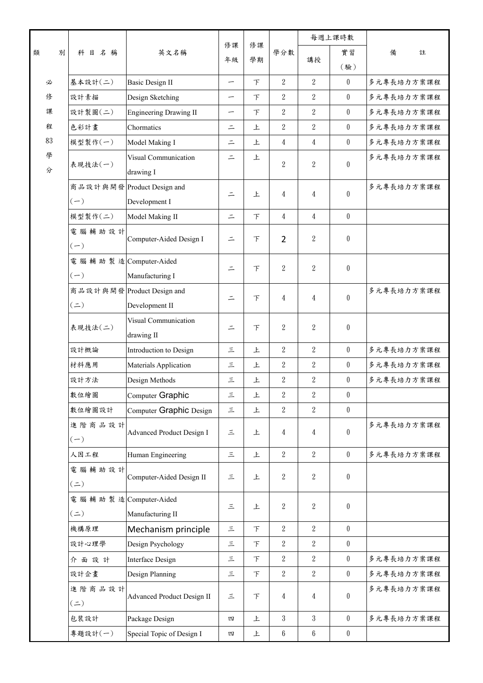|        | 科目名稱                       | 英文名稱                             | 修課<br>年級                 | 修課<br>學期 | 學分數              | 每週上課時數           |                  |            |
|--------|----------------------------|----------------------------------|--------------------------|----------|------------------|------------------|------------------|------------|
| 類<br>別 |                            |                                  |                          |          |                  | 講授               | 實習               | 備<br>註     |
|        |                            |                                  |                          |          |                  |                  | (驗)              |            |
| 必      | 基本設計(二)                    | <b>Basic Design II</b>           | $\overline{\phantom{0}}$ | F        | $\overline{2}$   | $\overline{2}$   | $\bf{0}$         | 多元專長培力方案課程 |
| 俢      | 設計素描                       | Design Sketching                 | —                        | F        | $\overline{2}$   | $\boldsymbol{2}$ | $\mathbf{0}$     | 多元專長培力方案課程 |
| 課      | 設計製圖(二)                    | <b>Engineering Drawing II</b>    | —                        | 下        | $\overline{2}$   | $\overline{2}$   | $\bf{0}$         | 多元專長培力方案課程 |
| 程      | 色彩計畫                       | Chormatics                       | $\equiv$                 | 上        | $\overline{2}$   | $\overline{2}$   | $\boldsymbol{0}$ | 多元專長培力方案課程 |
| 83     | 模型製作(一)                    | Model Making I                   | $\equiv$                 | 上        | $\overline{4}$   | 4                | $\boldsymbol{0}$ | 多元專長培力方案課程 |
| 學      | 表現技法(一)                    | Visual Communication             | $=$                      | 上        | $\overline{2}$   | $\overline{2}$   | $\theta$         | 多元專長培力方案課程 |
| 分      |                            | drawing I                        |                          |          |                  |                  |                  |            |
|        |                            | 商品設計與開發 Product Design and       | $\equiv$                 | 上        | 4                | 4                | $\theta$         | 多元專長培力方案課程 |
|        | $(-)$                      | Development I                    |                          |          |                  |                  |                  |            |
|        | 模型製作(二)                    | Model Making II                  | $\equiv$                 | 下        | $\overline{4}$   | $\overline{4}$   | $\boldsymbol{0}$ |            |
|        | 電腦輔助設計                     | Computer-Aided Design I          | $\equiv$                 | $\top$   | $\overline{2}$   | 2                | $\boldsymbol{0}$ |            |
|        | $(-)$                      |                                  |                          |          |                  |                  |                  |            |
|        | 電腦輔助製造 Computer-Aided      |                                  | $\equiv$                 | $\top$   | $\mathbf{2}$     | $\overline{2}$   | $\boldsymbol{0}$ |            |
|        | $(-)$                      | Manufacturing I                  |                          |          |                  |                  |                  |            |
|        |                            | 商品設計與開發 Product Design and       | $\equiv$                 | 下        | 4                | 4                | $\theta$         | 多元專長培力方案課程 |
|        | $($ $\equiv$ $)$           | Development II                   |                          |          |                  |                  |                  |            |
|        | 表現技法(二)                    | Visual Communication             | $\equiv$                 | 下        | $\mathbf{2}$     | $\overline{2}$   | $\boldsymbol{0}$ |            |
|        |                            | drawing II                       |                          |          |                  |                  |                  |            |
|        | 設計概論                       | Introduction to Design           | $\equiv$                 | 上        | $\overline{2}$   | $\sqrt{2}$       | $\bf{0}$         | 多元專長培力方案課程 |
|        | 材料應用                       | Materials Application            | 三                        | 上        | 2                | 2                | $\bf{0}$         | 多元專長培力方案課程 |
|        | 設計方法                       | Design Methods                   | $\equiv$                 | 上        | $\boldsymbol{2}$ | $\boldsymbol{2}$ | $\boldsymbol{0}$ | 多元專長培力方案課程 |
|        | 數位繪圖                       | Computer Graphic                 | $\equiv$                 | 上        | $\boldsymbol{2}$ | $\boldsymbol{2}$ | $\pmb{0}$        |            |
|        | 數位繪圖設計                     | Computer Graphic Design          | $\equiv$                 | 上        | $\boldsymbol{2}$ | $\overline{2}$   | $\boldsymbol{0}$ |            |
|        | 進階商品設計<br>$(-)$            | <b>Advanced Product Design I</b> | $\equiv$                 | 上        | 4                | 4                | $\bf{0}$         | 多元專長培力方案課程 |
|        | 人因工程                       | Human Engineering                | $\equiv$                 | 上        | $\overline{2}$   | $\sqrt{2}$       | $\boldsymbol{0}$ | 多元專長培力方案課程 |
|        | 電腦輔助設計<br>$($ $\equiv$ $)$ | Computer-Aided Design II         | $\equiv$                 | 上        | $\boldsymbol{2}$ | 2                | $\boldsymbol{0}$ |            |
|        | 電腦輔助製造 Computer-Aided      |                                  |                          |          |                  |                  |                  |            |
|        | $($ $\equiv$ $)$           | Manufacturing II                 | $\equiv$                 | 上        | $\boldsymbol{2}$ | 2                | $\boldsymbol{0}$ |            |
|        | 機構原理                       | Mechanism principle              | $\equiv$                 | $\top$   | $\overline{2}$   | $\overline{2}$   | $\boldsymbol{0}$ |            |
|        | 設計心理學                      | Design Psychology                | 三                        | $\top$   | $\overline{2}$   | $\boldsymbol{2}$ | $\boldsymbol{0}$ |            |
|        | 介面設計                       | <b>Interface Design</b>          | 三                        | $\top$   | $\sqrt{2}$       | $\boldsymbol{2}$ | $\bf{0}$         | 多元專長培力方案課程 |
|        | 設計企畫                       | Design Planning                  | 三                        | F        | $\boldsymbol{2}$ | $\boldsymbol{2}$ | $\bf{0}$         | 多元專長培力方案課程 |
|        | 進階商品設計<br>$($ $\equiv$ $)$ | Advanced Product Design II       | $\equiv$                 | $\top$   | 4                | 4                | $\boldsymbol{0}$ | 多元專長培力方案課程 |
|        | 包裝設計                       | Package Design                   | 四                        | 上        | $\mathbf{3}$     | 3                | $\boldsymbol{0}$ | 多元專長培力方案課程 |
|        | 專題設計(一)                    | Special Topic of Design I        | 四                        | 上        | $6\phantom{.0}$  | $6\phantom{.0}$  | $\boldsymbol{0}$ |            |